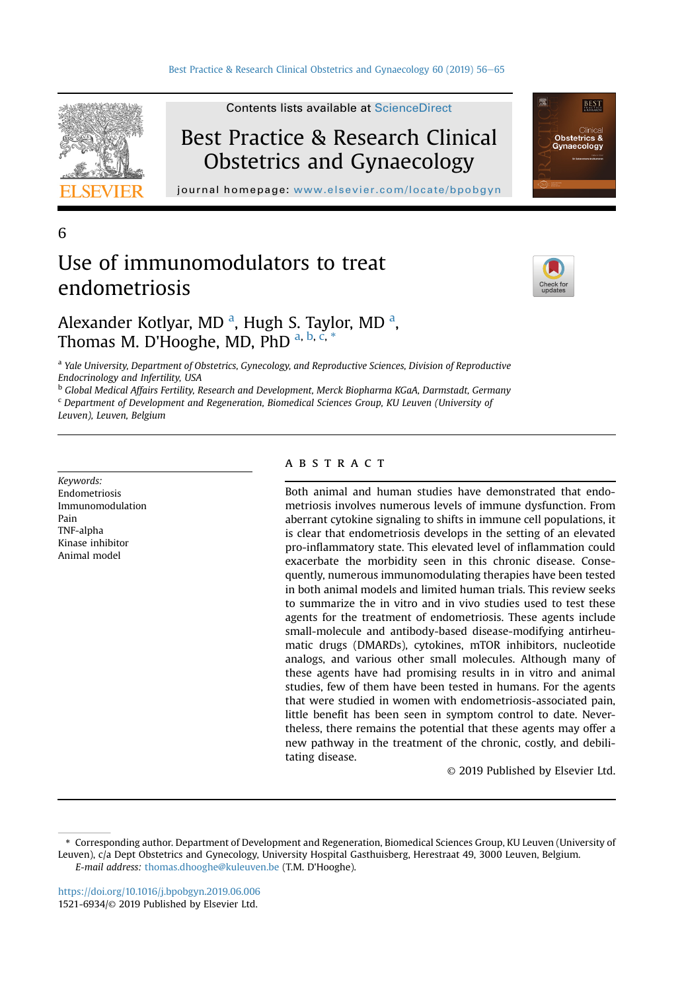

Contents lists available at [ScienceDirect](www.sciencedirect.com/science/journal/15216934)

## Best Practice & Research Clinical Obstetrics and Gynaecology

journal homepage: [www.elsevier.com/locate/bpobgyn](http://www.elsevier.com/locate/bpobgyn)

6

# Use of immunomodulators to treat endometriosis



**BEST** 

**Obstetrics &** 

Alexander Kotlyar, MD<sup>a</sup>, Hugh S. Taylor, MD<sup>a</sup>, Thomas M. D'Hooghe, MD, PhD a, b, c, \*

<sup>a</sup> Yale University, Department of Obstetrics, Gynecology, and Reproductive Sciences, Division of Reproductive Endocrinology and Infertility, USA

<sup>b</sup> Global Medical Affairs Fertility, Research and Development, Merck Biopharma KGaA, Darmstadt, Germany

<sup>c</sup> Department of Development and Regeneration, Biomedical Sciences Group, KU Leuven (University of

Leuven), Leuven, Belgium

Keywords: Endometriosis Immunomodulation Pain TNF-alpha Kinase inhibitor Animal model

## **ABSTRACT**

Both animal and human studies have demonstrated that endometriosis involves numerous levels of immune dysfunction. From aberrant cytokine signaling to shifts in immune cell populations, it is clear that endometriosis develops in the setting of an elevated pro-inflammatory state. This elevated level of inflammation could exacerbate the morbidity seen in this chronic disease. Consequently, numerous immunomodulating therapies have been tested in both animal models and limited human trials. This review seeks to summarize the in vitro and in vivo studies used to test these agents for the treatment of endometriosis. These agents include small-molecule and antibody-based disease-modifying antirheumatic drugs (DMARDs), cytokines, mTOR inhibitors, nucleotide analogs, and various other small molecules. Although many of these agents have had promising results in in vitro and animal studies, few of them have been tested in humans. For the agents that were studied in women with endometriosis-associated pain, little benefit has been seen in symptom control to date. Nevertheless, there remains the potential that these agents may offer a new pathway in the treatment of the chronic, costly, and debilitating disease.

© 2019 Published by Elsevier Ltd.

<sup>\*</sup> Corresponding author. Department of Development and Regeneration, Biomedical Sciences Group, KU Leuven (University of Leuven), c/a Dept Obstetrics and Gynecology, University Hospital Gasthuisberg, Herestraat 49, 3000 Leuven, Belgium. E-mail address: [thomas.dhooghe@kuleuven.be](mailto:thomas.dhooghe@kuleuven.be) (T.M. D'Hooghe).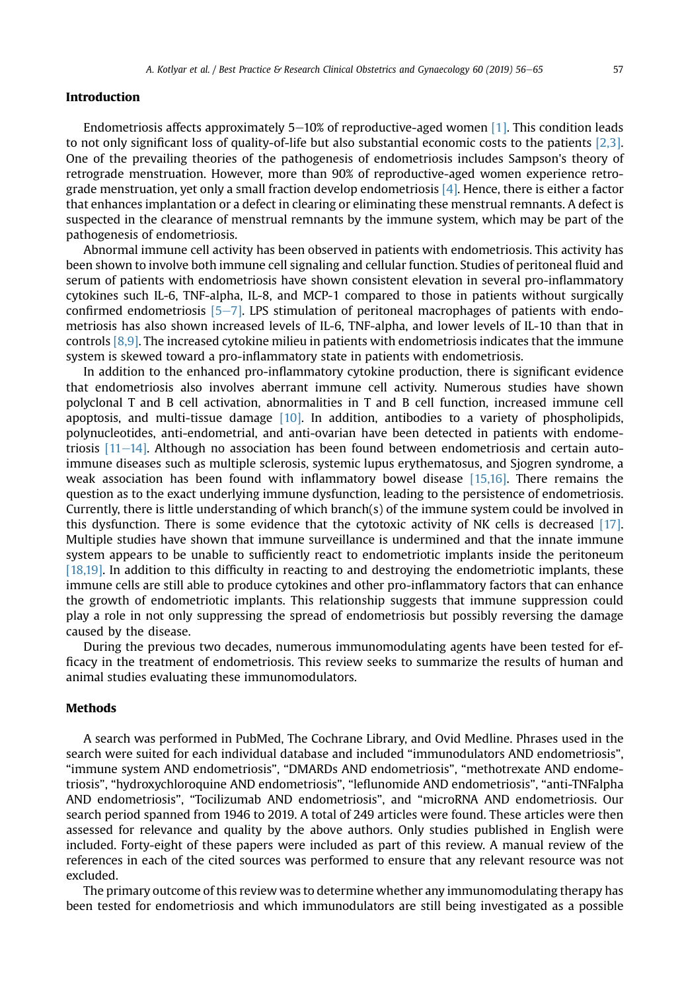## Introduction

Endometriosis affects approximately 5–10% of reproductive-aged women [\[1\].](#page-7-0) This condition leads to not only significant loss of quality-of-life but also substantial economic costs to the patients [\[2,3\]](#page-7-0). One of the prevailing theories of the pathogenesis of endometriosis includes Sampson's theory of retrograde menstruation. However, more than 90% of reproductive-aged women experience retrograde menstruation, yet only a small fraction develop endometriosis [\[4\].](#page-7-0) Hence, there is either a factor that enhances implantation or a defect in clearing or eliminating these menstrual remnants. A defect is suspected in the clearance of menstrual remnants by the immune system, which may be part of the pathogenesis of endometriosis.

Abnormal immune cell activity has been observed in patients with endometriosis. This activity has been shown to involve both immune cell signaling and cellular function. Studies of peritoneal fluid and serum of patients with endometriosis have shown consistent elevation in several pro-inflammatory cytokines such IL-6, TNF-alpha, IL-8, and MCP-1 compared to those in patients without surgically confirmed endometriosis  $[5-7]$  $[5-7]$  $[5-7]$ . LPS stimulation of peritoneal macrophages of patients with endometriosis has also shown increased levels of IL-6, TNF-alpha, and lower levels of IL-10 than that in controls [\[8,9\]](#page-7-0). The increased cytokine milieu in patients with endometriosis indicates that the immune system is skewed toward a pro-inflammatory state in patients with endometriosis.

In addition to the enhanced pro-inflammatory cytokine production, there is significant evidence that endometriosis also involves aberrant immune cell activity. Numerous studies have shown polyclonal T and B cell activation, abnormalities in T and B cell function, increased immune cell apoptosis, and multi-tissue damage  $[10]$ . In addition, antibodies to a variety of phospholipids, polynucleotides, anti-endometrial, and anti-ovarian have been detected in patients with endometriosis  $[11-14]$  $[11-14]$ . Although no association has been found between endometriosis and certain autoimmune diseases such as multiple sclerosis, systemic lupus erythematosus, and Sjogren syndrome, a weak association has been found with inflammatory bowel disease [\[15,16\].](#page-7-0) There remains the question as to the exact underlying immune dysfunction, leading to the persistence of endometriosis. Currently, there is little understanding of which branch(s) of the immune system could be involved in this dysfunction. There is some evidence that the cytotoxic activity of NK cells is decreased [\[17\]](#page-8-0). Multiple studies have shown that immune surveillance is undermined and that the innate immune system appears to be unable to sufficiently react to endometriotic implants inside the peritoneum [\[18,19\]](#page-8-0). In addition to this difficulty in reacting to and destroying the endometriotic implants, these immune cells are still able to produce cytokines and other pro-inflammatory factors that can enhance the growth of endometriotic implants. This relationship suggests that immune suppression could play a role in not only suppressing the spread of endometriosis but possibly reversing the damage caused by the disease.

During the previous two decades, numerous immunomodulating agents have been tested for efficacy in the treatment of endometriosis. This review seeks to summarize the results of human and animal studies evaluating these immunomodulators.

## Methods

A search was performed in PubMed, The Cochrane Library, and Ovid Medline. Phrases used in the search were suited for each individual database and included "immunodulators AND endometriosis", "immune system AND endometriosis", "DMARDs AND endometriosis", "methotrexate AND endometriosis", "hydroxychloroquine AND endometriosis", "leflunomide AND endometriosis", "anti-TNFalpha AND endometriosis", "Tocilizumab AND endometriosis", and "microRNA AND endometriosis. Our search period spanned from 1946 to 2019. A total of 249 articles were found. These articles were then assessed for relevance and quality by the above authors. Only studies published in English were included. Forty-eight of these papers were included as part of this review. A manual review of the references in each of the cited sources was performed to ensure that any relevant resource was not excluded.

The primary outcome of this review was to determine whether any immunomodulating therapy has been tested for endometriosis and which immunodulators are still being investigated as a possible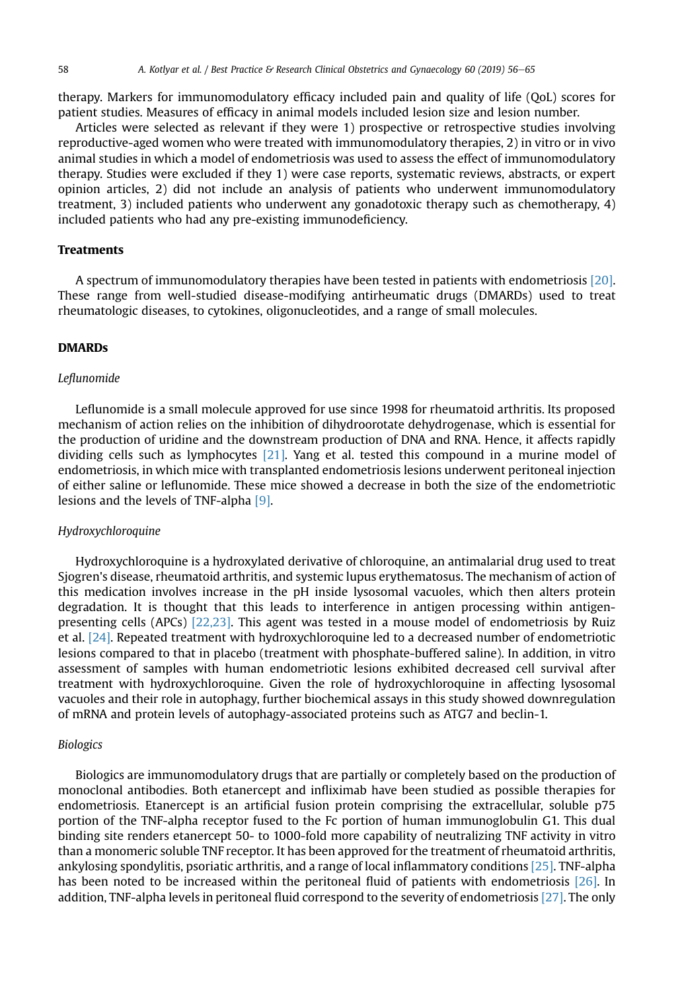therapy. Markers for immunomodulatory efficacy included pain and quality of life (QoL) scores for patient studies. Measures of efficacy in animal models included lesion size and lesion number.

Articles were selected as relevant if they were 1) prospective or retrospective studies involving reproductive-aged women who were treated with immunomodulatory therapies, 2) in vitro or in vivo animal studies in which a model of endometriosis was used to assess the effect of immunomodulatory therapy. Studies were excluded if they 1) were case reports, systematic reviews, abstracts, or expert opinion articles, 2) did not include an analysis of patients who underwent immunomodulatory treatment, 3) included patients who underwent any gonadotoxic therapy such as chemotherapy, 4) included patients who had any pre-existing immunodeficiency.

## Treatments

A spectrum of immunomodulatory therapies have been tested in patients with endometriosis [\[20\].](#page-8-0) These range from well-studied disease-modifying antirheumatic drugs (DMARDs) used to treat rheumatologic diseases, to cytokines, oligonucleotides, and a range of small molecules.

#### DMARDs

#### Leflunomide

Leflunomide is a small molecule approved for use since 1998 for rheumatoid arthritis. Its proposed mechanism of action relies on the inhibition of dihydroorotate dehydrogenase, which is essential for the production of uridine and the downstream production of DNA and RNA. Hence, it affects rapidly dividing cells such as lymphocytes [\[21\]](#page-8-0). Yang et al. tested this compound in a murine model of endometriosis, in which mice with transplanted endometriosis lesions underwent peritoneal injection of either saline or leflunomide. These mice showed a decrease in both the size of the endometriotic lesions and the levels of TNF-alpha [\[9\].](#page-7-0)

#### Hydroxychloroquine

Hydroxychloroquine is a hydroxylated derivative of chloroquine, an antimalarial drug used to treat Sjogren's disease, rheumatoid arthritis, and systemic lupus erythematosus. The mechanism of action of this medication involves increase in the pH inside lysosomal vacuoles, which then alters protein degradation. It is thought that this leads to interference in antigen processing within antigenpresenting cells (APCs) [\[22,23\]](#page-8-0). This agent was tested in a mouse model of endometriosis by Ruiz et al. [\[24\].](#page-8-0) Repeated treatment with hydroxychloroquine led to a decreased number of endometriotic lesions compared to that in placebo (treatment with phosphate-buffered saline). In addition, in vitro assessment of samples with human endometriotic lesions exhibited decreased cell survival after treatment with hydroxychloroquine. Given the role of hydroxychloroquine in affecting lysosomal vacuoles and their role in autophagy, further biochemical assays in this study showed downregulation of mRNA and protein levels of autophagy-associated proteins such as ATG7 and beclin-1.

#### Biologics

Biologics are immunomodulatory drugs that are partially or completely based on the production of monoclonal antibodies. Both etanercept and infliximab have been studied as possible therapies for endometriosis. Etanercept is an artificial fusion protein comprising the extracellular, soluble p75 portion of the TNF-alpha receptor fused to the Fc portion of human immunoglobulin G1. This dual binding site renders etanercept 50- to 1000-fold more capability of neutralizing TNF activity in vitro than a monomeric soluble TNF receptor. It has been approved for the treatment of rheumatoid arthritis, ankylosing spondylitis, psoriatic arthritis, and a range of local inflammatory conditions [\[25\].](#page-8-0) TNF-alpha has been noted to be increased within the peritoneal fluid of patients with endometriosis [\[26\].](#page-8-0) In addition, TNF-alpha levels in peritoneal fluid correspond to the severity of endometriosis [\[27\].](#page-8-0) The only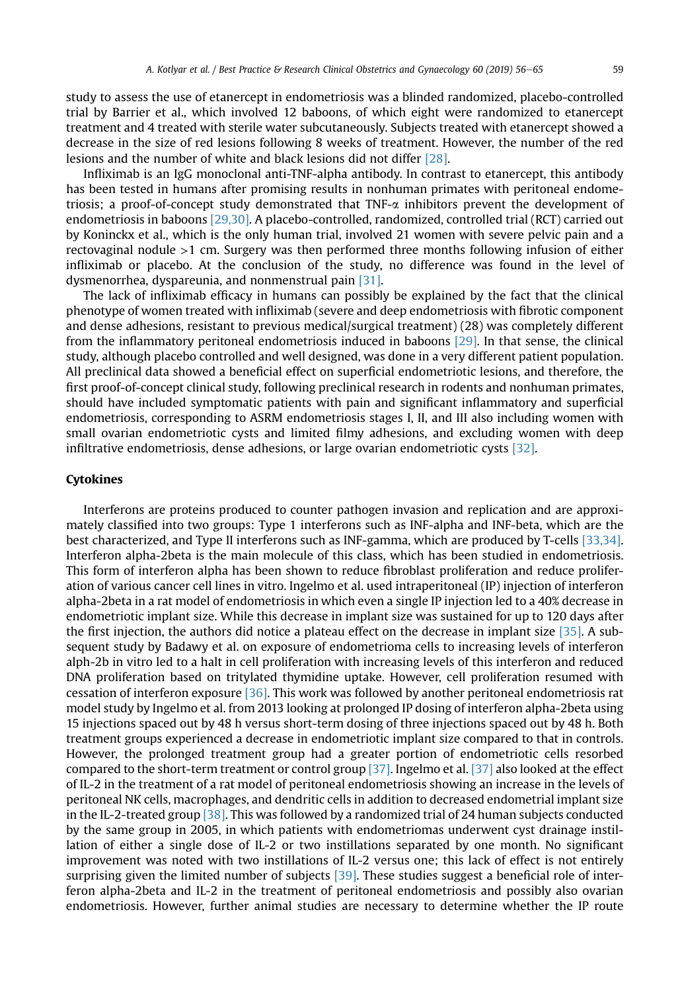study to assess the use of etanercept in endometriosis was a blinded randomized, placebo-controlled trial by Barrier et al., which involved 12 baboons, of which eight were randomized to etanercept treatment and 4 treated with sterile water subcutaneously. Subjects treated with etanercept showed a decrease in the size of red lesions following 8 weeks of treatment. However, the number of the red lesions and the number of white and black lesions did not differ [\[28\]](#page-8-0).

Infliximab is an IgG monoclonal anti-TNF-alpha antibody. In contrast to etanercept, this antibody has been tested in humans after promising results in nonhuman primates with peritoneal endometriosis; a proof-of-concept study demonstrated that TNF-a inhibitors prevent the development of endometriosis in baboons [\[29,30\].](#page-8-0) A placebo-controlled, randomized, controlled trial (RCT) carried out by Koninckx et al., which is the only human trial, involved 21 women with severe pelvic pain and a rectovaginal nodule >1 cm. Surgery was then performed three months following infusion of either infliximab or placebo. At the conclusion of the study, no difference was found in the level of dysmenorrhea, dyspareunia, and nonmenstrual pain [\[31\]](#page-8-0).

The lack of infliximab efficacy in humans can possibly be explained by the fact that the clinical phenotype of women treated with infliximab (severe and deep endometriosis with fibrotic component and dense adhesions, resistant to previous medical/surgical treatment) (28) was completely different from the inflammatory peritoneal endometriosis induced in baboons [\[29\]](#page-8-0). In that sense, the clinical study, although placebo controlled and well designed, was done in a very different patient population. All preclinical data showed a beneficial effect on superficial endometriotic lesions, and therefore, the first proof-of-concept clinical study, following preclinical research in rodents and nonhuman primates, should have included symptomatic patients with pain and significant inflammatory and superficial endometriosis, corresponding to ASRM endometriosis stages I, II, and III also including women with small ovarian endometriotic cysts and limited filmy adhesions, and excluding women with deep infiltrative endometriosis, dense adhesions, or large ovarian endometriotic cysts [\[32\].](#page-8-0)

## Cytokines

Interferons are proteins produced to counter pathogen invasion and replication and are approximately classified into two groups: Type 1 interferons such as INF-alpha and INF-beta, which are the best characterized, and Type II interferons such as INF-gamma, which are produced by T-cells [\[33,34\]](#page-8-0). Interferon alpha-2beta is the main molecule of this class, which has been studied in endometriosis. This form of interferon alpha has been shown to reduce fibroblast proliferation and reduce proliferation of various cancer cell lines in vitro. Ingelmo et al. used intraperitoneal (IP) injection of interferon alpha-2beta in a rat model of endometriosis in which even a single IP injection led to a 40% decrease in endometriotic implant size. While this decrease in implant size was sustained for up to 120 days after the first injection, the authors did notice a plateau effect on the decrease in implant size [\[35\].](#page-8-0) A subsequent study by Badawy et al. on exposure of endometrioma cells to increasing levels of interferon alph-2b in vitro led to a halt in cell proliferation with increasing levels of this interferon and reduced DNA proliferation based on tritylated thymidine uptake. However, cell proliferation resumed with cessation of interferon exposure [\[36\]](#page-8-0). This work was followed by another peritoneal endometriosis rat model study by Ingelmo et al. from 2013 looking at prolonged IP dosing of interferon alpha-2beta using 15 injections spaced out by 48 h versus short-term dosing of three injections spaced out by 48 h. Both treatment groups experienced a decrease in endometriotic implant size compared to that in controls. However, the prolonged treatment group had a greater portion of endometriotic cells resorbed compared to the short-term treatment or control group [\[37\].](#page-8-0) Ingelmo et al. [\[37\]](#page-8-0) also looked at the effect of IL-2 in the treatment of a rat model of peritoneal endometriosis showing an increase in the levels of peritoneal NK cells, macrophages, and dendritic cells in addition to decreased endometrial implant size in the IL-2-treated group [\[38\].](#page-8-0) This was followed by a randomized trial of 24 human subjects conducted by the same group in 2005, in which patients with endometriomas underwent cyst drainage instillation of either a single dose of IL-2 or two instillations separated by one month. No significant improvement was noted with two instillations of IL-2 versus one; this lack of effect is not entirely surprising given the limited number of subjects [\[39\].](#page-8-0) These studies suggest a beneficial role of interferon alpha-2beta and IL-2 in the treatment of peritoneal endometriosis and possibly also ovarian endometriosis. However, further animal studies are necessary to determine whether the IP route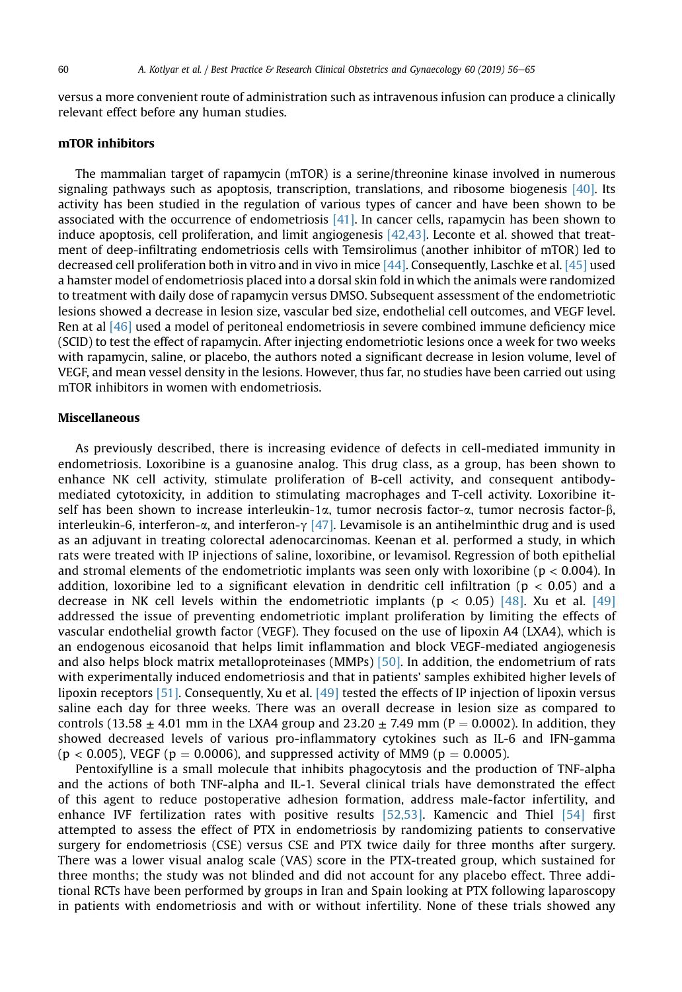versus a more convenient route of administration such as intravenous infusion can produce a clinically relevant effect before any human studies.

## mTOR inhibitors

The mammalian target of rapamycin (mTOR) is a serine/threonine kinase involved in numerous signaling pathways such as apoptosis, transcription, translations, and ribosome biogenesis [\[40\]](#page-8-0). Its activity has been studied in the regulation of various types of cancer and have been shown to be associated with the occurrence of endometriosis  $[41]$ . In cancer cells, rapamycin has been shown to induce apoptosis, cell proliferation, and limit angiogenesis [\[42,43\]](#page-8-0). Leconte et al. showed that treatment of deep-infiltrating endometriosis cells with Temsirolimus (another inhibitor of mTOR) led to decreased cell proliferation both in vitro and in vivo in mice [\[44\]](#page-8-0). Consequently, Laschke et al. [\[45\]](#page-8-0) used a hamster model of endometriosis placed into a dorsal skin fold in which the animals were randomized to treatment with daily dose of rapamycin versus DMSO. Subsequent assessment of the endometriotic lesions showed a decrease in lesion size, vascular bed size, endothelial cell outcomes, and VEGF level. Ren at al [\[46\]](#page-8-0) used a model of peritoneal endometriosis in severe combined immune deficiency mice (SCID) to test the effect of rapamycin. After injecting endometriotic lesions once a week for two weeks with rapamycin, saline, or placebo, the authors noted a significant decrease in lesion volume, level of VEGF, and mean vessel density in the lesions. However, thus far, no studies have been carried out using mTOR inhibitors in women with endometriosis.

#### Miscellaneous

As previously described, there is increasing evidence of defects in cell-mediated immunity in endometriosis. Loxoribine is a guanosine analog. This drug class, as a group, has been shown to enhance NK cell activity, stimulate proliferation of B-cell activity, and consequent antibodymediated cytotoxicity, in addition to stimulating macrophages and T-cell activity. Loxoribine itself has been shown to increase interleukin-1 $\alpha$ , tumor necrosis factor- $\alpha$ , tumor necrosis factor- $\beta$ , interleukin-6, interferon- $\alpha$ , and interferon- $\gamma$  [\[47\].](#page-8-0) Levamisole is an antihelminthic drug and is used as an adjuvant in treating colorectal adenocarcinomas. Keenan et al. performed a study, in which rats were treated with IP injections of saline, loxoribine, or levamisol. Regression of both epithelial and stromal elements of the endometriotic implants was seen only with loxoribine ( $p < 0.004$ ). In addition, loxoribine led to a significant elevation in dendritic cell infiltration ( $p < 0.05$ ) and a decrease in NK cell levels within the endometriotic implants ( $p < 0.05$ ) [\[48\]](#page-8-0). Xu et al. [\[49\]](#page-8-0) addressed the issue of preventing endometriotic implant proliferation by limiting the effects of vascular endothelial growth factor (VEGF). They focused on the use of lipoxin A4 (LXA4), which is an endogenous eicosanoid that helps limit inflammation and block VEGF-mediated angiogenesis and also helps block matrix metalloproteinases (MMPs) [\[50\].](#page-8-0) In addition, the endometrium of rats with experimentally induced endometriosis and that in patients' samples exhibited higher levels of lipoxin receptors [\[51\].](#page-8-0) Consequently, Xu et al. [\[49\]](#page-8-0) tested the effects of IP injection of lipoxin versus saline each day for three weeks. There was an overall decrease in lesion size as compared to controls (13.58  $\pm$  4.01 mm in the LXA4 group and 23.20  $\pm$  7.49 mm (P = 0.0002). In addition, they showed decreased levels of various pro-inflammatory cytokines such as IL-6 and IFN-gamma  $(p < 0.005)$ , VEGF ( $p = 0.0006$ ), and suppressed activity of MM9 ( $p = 0.0005$ ).

Pentoxifylline is a small molecule that inhibits phagocytosis and the production of TNF-alpha and the actions of both TNF-alpha and IL-1. Several clinical trials have demonstrated the effect of this agent to reduce postoperative adhesion formation, address male-factor infertility, and enhance IVF fertilization rates with positive results [\[52,53\].](#page-8-0) Kamencic and Thiel [\[54\]](#page-9-0) first attempted to assess the effect of PTX in endometriosis by randomizing patients to conservative surgery for endometriosis (CSE) versus CSE and PTX twice daily for three months after surgery. There was a lower visual analog scale (VAS) score in the PTX-treated group, which sustained for three months; the study was not blinded and did not account for any placebo effect. Three additional RCTs have been performed by groups in Iran and Spain looking at PTX following laparoscopy in patients with endometriosis and with or without infertility. None of these trials showed any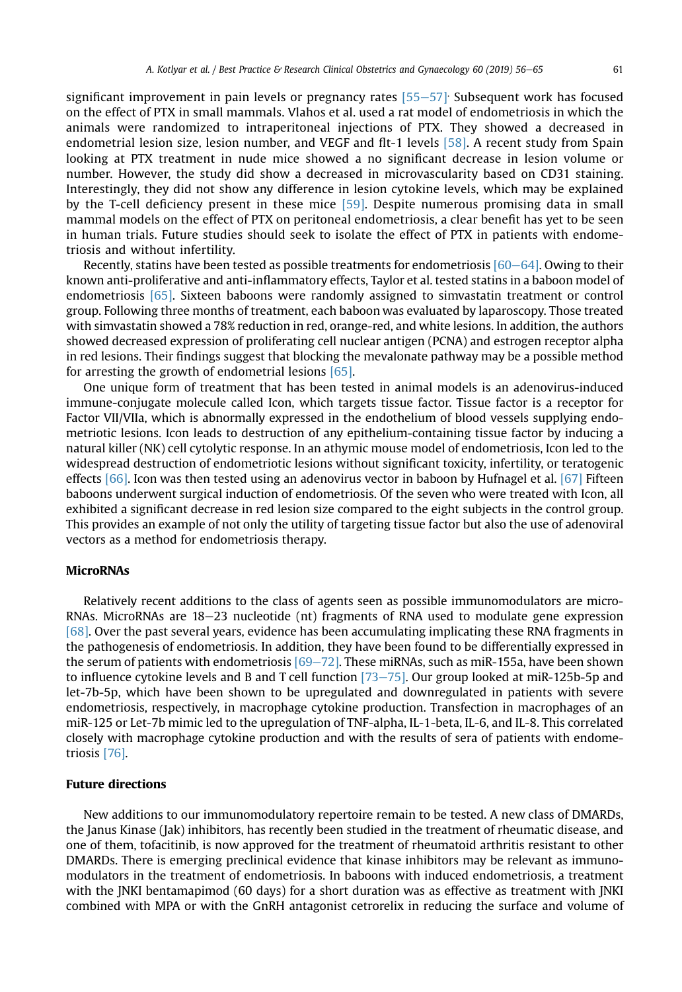significant improvement in pain levels or pregnancy rates  $[55–57]$  $[55–57]$  $[55–57]$ . Subsequent work has focused on the effect of PTX in small mammals. Vlahos et al. used a rat model of endometriosis in which the animals were randomized to intraperitoneal injections of PTX. They showed a decreased in endometrial lesion size, lesion number, and VEGF and flt-1 levels [\[58\]](#page-9-0). A recent study from Spain looking at PTX treatment in nude mice showed a no significant decrease in lesion volume or number. However, the study did show a decreased in microvascularity based on CD31 staining. Interestingly, they did not show any difference in lesion cytokine levels, which may be explained by the T-cell deficiency present in these mice [\[59\]](#page-9-0). Despite numerous promising data in small mammal models on the effect of PTX on peritoneal endometriosis, a clear benefit has yet to be seen in human trials. Future studies should seek to isolate the effect of PTX in patients with endometriosis and without infertility.

Recently, statins have been tested as possible treatments for endometriosis  $[60-64]$  $[60-64]$ . Owing to their known anti-proliferative and anti-inflammatory effects, Taylor et al. tested statins in a baboon model of endometriosis [\[65\]](#page-9-0). Sixteen baboons were randomly assigned to simvastatin treatment or control group. Following three months of treatment, each baboon was evaluated by laparoscopy. Those treated with simvastatin showed a 78% reduction in red, orange-red, and white lesions. In addition, the authors showed decreased expression of proliferating cell nuclear antigen (PCNA) and estrogen receptor alpha in red lesions. Their findings suggest that blocking the mevalonate pathway may be a possible method for arresting the growth of endometrial lesions [\[65\].](#page-9-0)

One unique form of treatment that has been tested in animal models is an adenovirus-induced immune-conjugate molecule called Icon, which targets tissue factor. Tissue factor is a receptor for Factor VII/VIIa, which is abnormally expressed in the endothelium of blood vessels supplying endometriotic lesions. Icon leads to destruction of any epithelium-containing tissue factor by inducing a natural killer (NK) cell cytolytic response. In an athymic mouse model of endometriosis, Icon led to the widespread destruction of endometriotic lesions without significant toxicity, infertility, or teratogenic effects [\[66\].](#page-9-0) Icon was then tested using an adenovirus vector in baboon by Hufnagel et al. [\[67\]](#page-9-0) Fifteen baboons underwent surgical induction of endometriosis. Of the seven who were treated with Icon, all exhibited a significant decrease in red lesion size compared to the eight subjects in the control group. This provides an example of not only the utility of targeting tissue factor but also the use of adenoviral vectors as a method for endometriosis therapy.

## **MicroRNAs**

Relatively recent additions to the class of agents seen as possible immunomodulators are micro-RNAs. MicroRNAs are  $18-23$  nucleotide (nt) fragments of RNA used to modulate gene expression [\[68\].](#page-9-0) Over the past several years, evidence has been accumulating implicating these RNA fragments in the pathogenesis of endometriosis. In addition, they have been found to be differentially expressed in the serum of patients with endometriosis  $[69–72]$  $[69–72]$ . These miRNAs, such as miR-155a, have been shown to influence cytokine levels and B and T cell function  $[73–75]$  $[73–75]$  $[73–75]$ . Our group looked at miR-125b-5p and let-7b-5p, which have been shown to be upregulated and downregulated in patients with severe endometriosis, respectively, in macrophage cytokine production. Transfection in macrophages of an miR-125 or Let-7b mimic led to the upregulation of TNF-alpha, IL-1-beta, IL-6, and IL-8. This correlated closely with macrophage cytokine production and with the results of sera of patients with endometriosis [\[76\].](#page-9-0)

#### Future directions

New additions to our immunomodulatory repertoire remain to be tested. A new class of DMARDs, the Janus Kinase (Jak) inhibitors, has recently been studied in the treatment of rheumatic disease, and one of them, tofacitinib, is now approved for the treatment of rheumatoid arthritis resistant to other DMARDs. There is emerging preclinical evidence that kinase inhibitors may be relevant as immunomodulators in the treatment of endometriosis. In baboons with induced endometriosis, a treatment with the JNKI bentamapimod (60 days) for a short duration was as effective as treatment with JNKI combined with MPA or with the GnRH antagonist cetrorelix in reducing the surface and volume of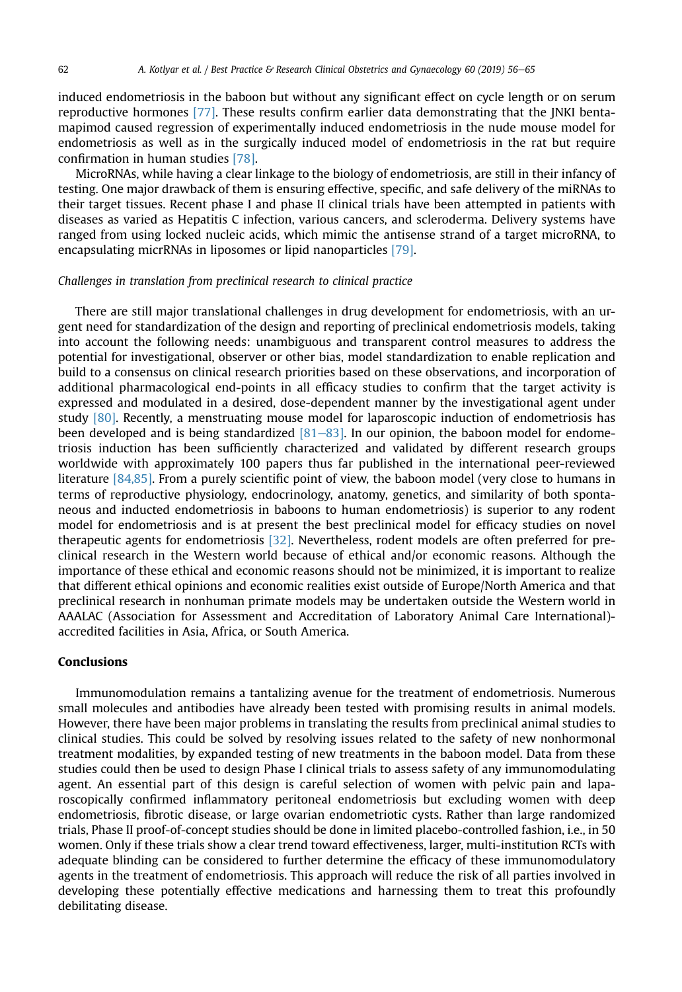induced endometriosis in the baboon but without any significant effect on cycle length or on serum reproductive hormones [\[77\].](#page-9-0) These results confirm earlier data demonstrating that the JNKI bentamapimod caused regression of experimentally induced endometriosis in the nude mouse model for endometriosis as well as in the surgically induced model of endometriosis in the rat but require confirmation in human studies [\[78\]](#page-9-0).

MicroRNAs, while having a clear linkage to the biology of endometriosis, are still in their infancy of testing. One major drawback of them is ensuring effective, specific, and safe delivery of the miRNAs to their target tissues. Recent phase I and phase II clinical trials have been attempted in patients with diseases as varied as Hepatitis C infection, various cancers, and scleroderma. Delivery systems have ranged from using locked nucleic acids, which mimic the antisense strand of a target microRNA, to encapsulating micrRNAs in liposomes or lipid nanoparticles [\[79\].](#page-9-0)

### Challenges in translation from preclinical research to clinical practice

There are still major translational challenges in drug development for endometriosis, with an urgent need for standardization of the design and reporting of preclinical endometriosis models, taking into account the following needs: unambiguous and transparent control measures to address the potential for investigational, observer or other bias, model standardization to enable replication and build to a consensus on clinical research priorities based on these observations, and incorporation of additional pharmacological end-points in all efficacy studies to confirm that the target activity is expressed and modulated in a desired, dose-dependent manner by the investigational agent under study [\[80\]](#page-9-0). Recently, a menstruating mouse model for laparoscopic induction of endometriosis has been developed and is being standardized  $[81–83]$  $[81–83]$  $[81–83]$ . In our opinion, the baboon model for endometriosis induction has been sufficiently characterized and validated by different research groups worldwide with approximately 100 papers thus far published in the international peer-reviewed literature [\[84,85\]](#page-9-0). From a purely scientific point of view, the baboon model (very close to humans in terms of reproductive physiology, endocrinology, anatomy, genetics, and similarity of both spontaneous and inducted endometriosis in baboons to human endometriosis) is superior to any rodent model for endometriosis and is at present the best preclinical model for efficacy studies on novel therapeutic agents for endometriosis [\[32\].](#page-8-0) Nevertheless, rodent models are often preferred for preclinical research in the Western world because of ethical and/or economic reasons. Although the importance of these ethical and economic reasons should not be minimized, it is important to realize that different ethical opinions and economic realities exist outside of Europe/North America and that preclinical research in nonhuman primate models may be undertaken outside the Western world in AAALAC (Association for Assessment and Accreditation of Laboratory Animal Care International) accredited facilities in Asia, Africa, or South America.

## Conclusions

Immunomodulation remains a tantalizing avenue for the treatment of endometriosis. Numerous small molecules and antibodies have already been tested with promising results in animal models. However, there have been major problems in translating the results from preclinical animal studies to clinical studies. This could be solved by resolving issues related to the safety of new nonhormonal treatment modalities, by expanded testing of new treatments in the baboon model. Data from these studies could then be used to design Phase I clinical trials to assess safety of any immunomodulating agent. An essential part of this design is careful selection of women with pelvic pain and laparoscopically confirmed inflammatory peritoneal endometriosis but excluding women with deep endometriosis, fibrotic disease, or large ovarian endometriotic cysts. Rather than large randomized trials, Phase II proof-of-concept studies should be done in limited placebo-controlled fashion, i.e., in 50 women. Only if these trials show a clear trend toward effectiveness, larger, multi-institution RCTs with adequate blinding can be considered to further determine the efficacy of these immunomodulatory agents in the treatment of endometriosis. This approach will reduce the risk of all parties involved in developing these potentially effective medications and harnessing them to treat this profoundly debilitating disease.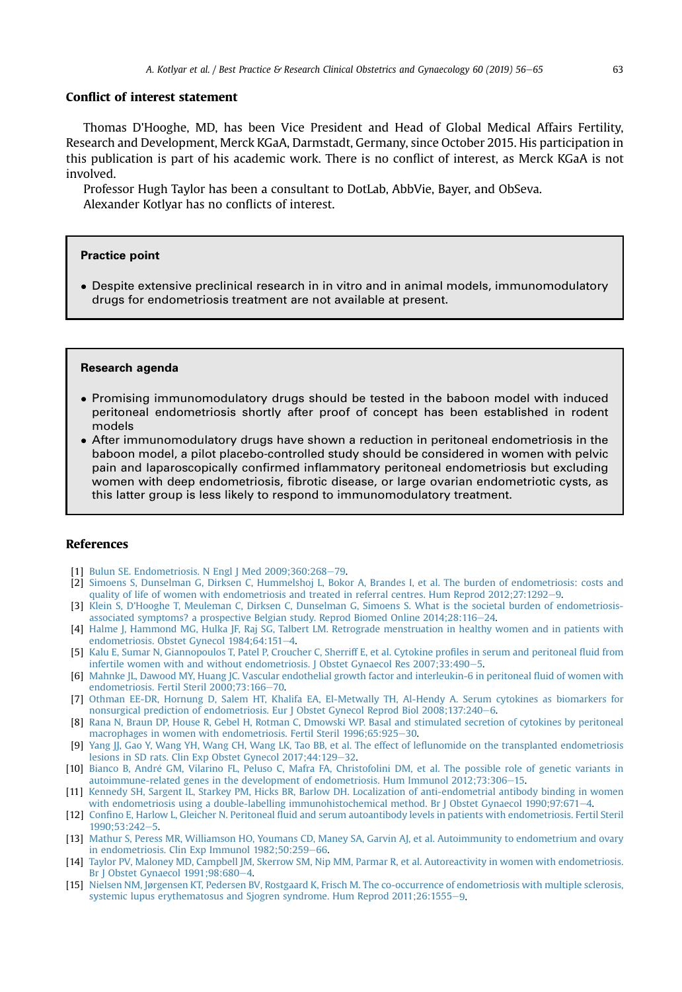## <span id="page-7-0"></span>Conflict of interest statement

Thomas D'Hooghe, MD, has been Vice President and Head of Global Medical Affairs Fertility, Research and Development, Merck KGaA, Darmstadt, Germany, since October 2015. His participation in this publication is part of his academic work. There is no conflict of interest, as Merck KGaA is not involved.

Professor Hugh Taylor has been a consultant to DotLab, AbbVie, Bayer, and ObSeva. Alexander Kotlyar has no conflicts of interest.

#### Practice point

- Despite extensive preclinical research in in vitro and in animal models, immunomodulatory drugs for endometriosis treatment are not available at present.

#### Research agenda

- Promising immunomodulatory drugs should be tested in the baboon model with induced peritoneal endometriosis shortly after proof of concept has been established in rodent models
- After immunomodulatory drugs have shown a reduction in peritoneal endometriosis in the baboon model, a pilot placebo-controlled study should be considered in women with pelvic pain and laparoscopically confirmed inflammatory peritoneal endometriosis but excluding women with deep endometriosis, fibrotic disease, or large ovarian endometriotic cysts, as this latter group is less likely to respond to immunomodulatory treatment.

#### References

- [1] Bulun SE. Endometriosis. N Engl J Med  $2009;360:268-79$  $2009;360:268-79$ .
- [2] [Simoens S, Dunselman G, Dirksen C, Hummelshoj L, Bokor A, Brandes I, et al. The burden of endometriosis: costs and](http://refhub.elsevier.com/S1521-6934(19)30085-9/sref2) [quality of life of women with endometriosis and treated in referral centres. Hum Reprod 2012;27:1292](http://refhub.elsevier.com/S1521-6934(19)30085-9/sref2)-[9](http://refhub.elsevier.com/S1521-6934(19)30085-9/sref2).
- [3] [Klein S, D'Hooghe T, Meuleman C, Dirksen C, Dunselman G, Simoens S. What is the societal burden of endometriosis](http://refhub.elsevier.com/S1521-6934(19)30085-9/sref3)[associated symptoms? a prospective Belgian study. Reprod Biomed Online 2014;28:116](http://refhub.elsevier.com/S1521-6934(19)30085-9/sref3)-[24.](http://refhub.elsevier.com/S1521-6934(19)30085-9/sref3)
- [4] [Halme J, Hammond MG, Hulka JF, Raj SG, Talbert LM. Retrograde menstruation in healthy women and in patients with](http://refhub.elsevier.com/S1521-6934(19)30085-9/sref4) [endometriosis. Obstet Gynecol 1984;64:151](http://refhub.elsevier.com/S1521-6934(19)30085-9/sref4)-[4](http://refhub.elsevier.com/S1521-6934(19)30085-9/sref4).
- [5] [Kalu E, Sumar N, Giannopoulos T, Patel P, Croucher C, Sherriff E, et al. Cytokine pro](http://refhub.elsevier.com/S1521-6934(19)30085-9/sref5)files in serum and peritoneal fluid from [infertile women with and without endometriosis. J Obstet Gynaecol Res 2007;33:490](http://refhub.elsevier.com/S1521-6934(19)30085-9/sref5)-[5](http://refhub.elsevier.com/S1521-6934(19)30085-9/sref5).
- [6] [Mahnke JL, Dawood MY, Huang JC. Vascular endothelial growth factor and interleukin-6 in peritoneal](http://refhub.elsevier.com/S1521-6934(19)30085-9/sref6) fluid of women with [endometriosis. Fertil Steril 2000;73:166](http://refhub.elsevier.com/S1521-6934(19)30085-9/sref6)-[70.](http://refhub.elsevier.com/S1521-6934(19)30085-9/sref6)
- [7] [Othman EE-DR, Hornung D, Salem HT, Khalifa EA, El-Metwally TH, Al-Hendy A. Serum cytokines as biomarkers for](http://refhub.elsevier.com/S1521-6934(19)30085-9/sref7) [nonsurgical prediction of endometriosis. Eur J Obstet Gynecol Reprod Biol 2008;137:240](http://refhub.elsevier.com/S1521-6934(19)30085-9/sref7)-[6](http://refhub.elsevier.com/S1521-6934(19)30085-9/sref7).
- [8] [Rana N, Braun DP, House R, Gebel H, Rotman C, Dmowski WP. Basal and stimulated secretion of cytokines by peritoneal](http://refhub.elsevier.com/S1521-6934(19)30085-9/sref8) [macrophages in women with endometriosis. Fertil Steril 1996;65:925](http://refhub.elsevier.com/S1521-6934(19)30085-9/sref8)-[30](http://refhub.elsevier.com/S1521-6934(19)30085-9/sref8).
- [9] [Yang JJ, Gao Y, Wang YH, Wang CH, Wang LK, Tao BB, et al. The effect of le](http://refhub.elsevier.com/S1521-6934(19)30085-9/sref9)flunomide on the transplanted endometriosis [lesions in SD rats. Clin Exp Obstet Gynecol 2017;44:129](http://refhub.elsevier.com/S1521-6934(19)30085-9/sref9)-[32](http://refhub.elsevier.com/S1521-6934(19)30085-9/sref9).
- [10] [Bianco B, Andre GM, Vilarino FL, Peluso C, Mafra FA, Christofolini DM, et al. The possible role of genetic variants in](http://refhub.elsevier.com/S1521-6934(19)30085-9/sref10) autoimmune-related genes in the development of endometriosis. Hum Immunol  $2012;73:306-15$  $2012;73:306-15$ .
- [11] [Kennedy SH, Sargent IL, Starkey PM, Hicks BR, Barlow DH. Localization of anti-endometrial antibody binding in women](http://refhub.elsevier.com/S1521-6934(19)30085-9/sref11) [with endometriosis using a double-labelling immunohistochemical method. Br J Obstet Gynaecol 1990;97:671](http://refhub.elsevier.com/S1521-6934(19)30085-9/sref11)-[4](http://refhub.elsevier.com/S1521-6934(19)30085-9/sref11).
- [12] Confino E, Harlow L, Gleicher N. Peritoneal fl[uid and serum autoantibody levels in patients with endometriosis. Fertil Steril](http://refhub.elsevier.com/S1521-6934(19)30085-9/sref12) [1990;53:242](http://refhub.elsevier.com/S1521-6934(19)30085-9/sref12)-[5](http://refhub.elsevier.com/S1521-6934(19)30085-9/sref12).
- [13] [Mathur S, Peress MR, Williamson HO, Youmans CD, Maney SA, Garvin AJ, et al. Autoimmunity to endometrium and ovary](http://refhub.elsevier.com/S1521-6934(19)30085-9/sref13) [in endometriosis. Clin Exp Immunol 1982;50:259](http://refhub.elsevier.com/S1521-6934(19)30085-9/sref13)-[66.](http://refhub.elsevier.com/S1521-6934(19)30085-9/sref13)
- [14] [Taylor PV, Maloney MD, Campbell JM, Skerrow SM, Nip MM, Parmar R, et al. Autoreactivity in women with endometriosis.](http://refhub.elsevier.com/S1521-6934(19)30085-9/sref14) Br J Obstet Gynaecol  $1991;98:680-4$  $1991;98:680-4$ .
- [15] [Nielsen NM, Jørgensen KT, Pedersen BV, Rostgaard K, Frisch M. The co-occurrence of endometriosis with multiple sclerosis,](http://refhub.elsevier.com/S1521-6934(19)30085-9/sref15) [systemic lupus erythematosus and Sjogren syndrome. Hum Reprod 2011;26:1555](http://refhub.elsevier.com/S1521-6934(19)30085-9/sref15)-[9](http://refhub.elsevier.com/S1521-6934(19)30085-9/sref15).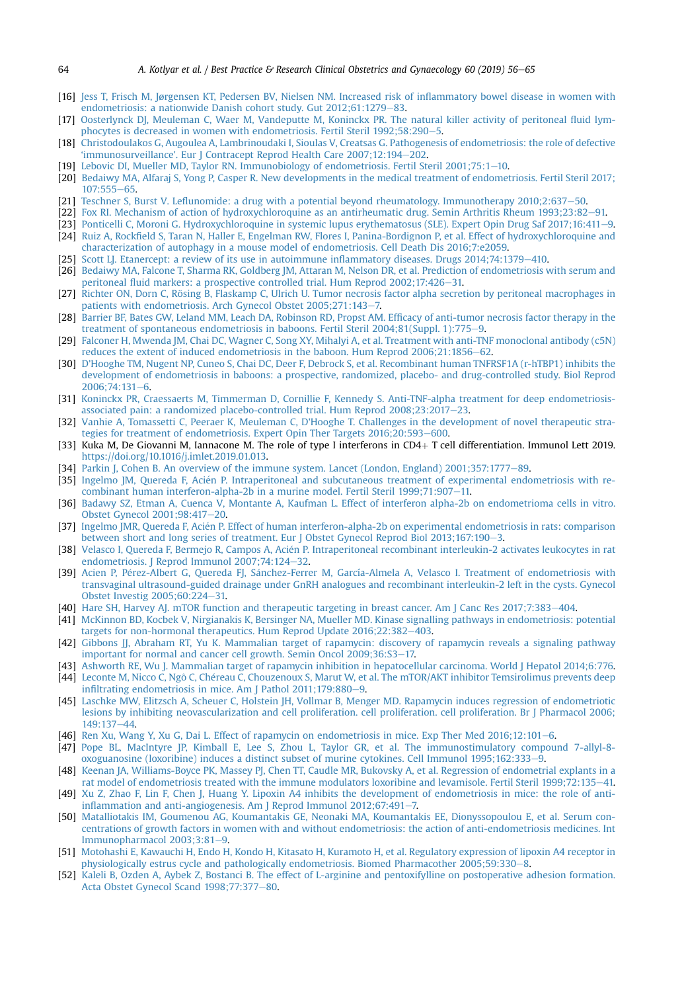- <span id="page-8-0"></span>[16] [Jess T, Frisch M, Jørgensen KT, Pedersen BV, Nielsen NM. Increased risk of in](http://refhub.elsevier.com/S1521-6934(19)30085-9/sref16)flammatory bowel disease in women with [endometriosis: a nationwide Danish cohort study. Gut 2012;61:1279](http://refhub.elsevier.com/S1521-6934(19)30085-9/sref16)-[83.](http://refhub.elsevier.com/S1521-6934(19)30085-9/sref16)
- [17] [Oosterlynck DJ, Meuleman C, Waer M, Vandeputte M, Koninckx PR. The natural killer activity of peritoneal](http://refhub.elsevier.com/S1521-6934(19)30085-9/sref17) fluid lym-phocytes is decreased in women with endometriosis. Fertil Steril 1992:58:290-[5.](http://refhub.elsevier.com/S1521-6934(19)30085-9/sref17)
- [18] [Christodoulakos G, Augoulea A, Lambrinoudaki I, Sioulas V, Creatsas G. Pathogenesis of endometriosis: the role of defective](http://refhub.elsevier.com/S1521-6934(19)30085-9/sref18) 'immunosurveillance'[. Eur J Contracept Reprod Health Care 2007;12:194](http://refhub.elsevier.com/S1521-6934(19)30085-9/sref18)-[202.](http://refhub.elsevier.com/S1521-6934(19)30085-9/sref18)
- [19] Lebovic DI, Mueller MD, Taylor RN, Immunobiology of endometriosis. Fertil Steril 2001:75:1-[10](http://refhub.elsevier.com/S1521-6934(19)30085-9/sref19).
- [20] [Bedaiwy MA, Alfaraj S, Yong P, Casper R. New developments in the medical treatment of endometriosis. Fertil Steril 2017;](http://refhub.elsevier.com/S1521-6934(19)30085-9/sref20)  $107:555 - 65.$  $107:555 - 65.$  $107:555 - 65.$
- [21] Teschner S, Burst V. Lefl[unomide: a drug with a potential beyond rheumatology. Immunotherapy 2010;2:637](http://refhub.elsevier.com/S1521-6934(19)30085-9/sref21)-[50](http://refhub.elsevier.com/S1521-6934(19)30085-9/sref21).
- [22] [Fox RI. Mechanism of action of hydroxychloroquine as an antirheumatic drug. Semin Arthritis Rheum 1993;23:82](http://refhub.elsevier.com/S1521-6934(19)30085-9/sref22)-[91.](http://refhub.elsevier.com/S1521-6934(19)30085-9/sref22)
- [23] [Ponticelli C, Moroni G. Hydroxychloroquine in systemic lupus erythematosus \(SLE\). Expert Opin Drug Saf 2017;16:411](http://refhub.elsevier.com/S1521-6934(19)30085-9/sref23)-[9.](http://refhub.elsevier.com/S1521-6934(19)30085-9/sref23) [24] Ruiz A, Rockfi[eld S, Taran N, Haller E, Engelman RW, Flores I, Panina-Bordignon P, et al. Effect of hydroxychloroquine and](http://refhub.elsevier.com/S1521-6934(19)30085-9/sref24) [characterization of autophagy in a mouse model of endometriosis. Cell Death Dis 2016;7:e2059.](http://refhub.elsevier.com/S1521-6934(19)30085-9/sref24)
- [25] [Scott LJ. Etanercept: a review of its use in autoimmune in](http://refhub.elsevier.com/S1521-6934(19)30085-9/sref25)flammatory diseases. Drugs 2014:74:1379-[410](http://refhub.elsevier.com/S1521-6934(19)30085-9/sref25).
- [26] [Bedaiwy MA, Falcone T, Sharma RK, Goldberg JM, Attaran M, Nelson DR, et al. Prediction of endometriosis with serum and](http://refhub.elsevier.com/S1521-6934(19)30085-9/sref26) peritoneal fl[uid markers: a prospective controlled trial. Hum Reprod 2002;17:426](http://refhub.elsevier.com/S1521-6934(19)30085-9/sref26)-[31.](http://refhub.elsevier.com/S1521-6934(19)30085-9/sref26)
- [27] Richter ON, Dorn C, Rösing B, Flaskamp C, Ulrich U. Tumor necrosis factor alpha secretion by peritoneal macrophages in [patients with endometriosis. Arch Gynecol Obstet 2005;271:143](http://refhub.elsevier.com/S1521-6934(19)30085-9/sref27)-[7.](http://refhub.elsevier.com/S1521-6934(19)30085-9/sref27)
- [28] [Barrier BF, Bates GW, Leland MM, Leach DA, Robinson RD, Propst AM. Ef](http://refhub.elsevier.com/S1521-6934(19)30085-9/sref28)ficacy of anti-tumor necrosis factor therapy in the [treatment of spontaneous endometriosis in baboons. Fertil Steril 2004;81\(Suppl. 1\):775](http://refhub.elsevier.com/S1521-6934(19)30085-9/sref28)-[9](http://refhub.elsevier.com/S1521-6934(19)30085-9/sref28).
- [29] [Falconer H, Mwenda JM, Chai DC, Wagner C, Song XY, Mihalyi A, et al. Treatment with anti-TNF monoclonal antibody \(c5N\)](http://refhub.elsevier.com/S1521-6934(19)30085-9/sref29) [reduces the extent of induced endometriosis in the baboon. Hum Reprod 2006;21:1856](http://refhub.elsevier.com/S1521-6934(19)30085-9/sref29)-[62](http://refhub.elsevier.com/S1521-6934(19)30085-9/sref29).
- [30] D'[Hooghe TM, Nugent NP, Cuneo S, Chai DC, Deer F, Debrock S, et al. Recombinant human TNFRSF1A \(r-hTBP1\) inhibits the](http://refhub.elsevier.com/S1521-6934(19)30085-9/sref30) [development of endometriosis in baboons: a prospective, randomized, placebo- and drug-controlled study. Biol Reprod](http://refhub.elsevier.com/S1521-6934(19)30085-9/sref30)  $2006:74:131-6.$  $2006:74:131-6.$  $2006:74:131-6.$
- [31] [Koninckx PR, Craessaerts M, Timmerman D, Cornillie F, Kennedy S. Anti-TNF-alpha treatment for deep endometriosis](http://refhub.elsevier.com/S1521-6934(19)30085-9/sref31)associated pain: a randomized placebo-controlled trial. Hum Reprod  $2008:23:2017-23$  $2008:23:2017-23$  $2008:23:2017-23$ .
- [32] [Vanhie A, Tomassetti C, Peeraer K, Meuleman C, D'Hooghe T. Challenges in the development of novel therapeutic stra](http://refhub.elsevier.com/S1521-6934(19)30085-9/sref32)[tegies for treatment of endometriosis. Expert Opin Ther Targets 2016;20:593](http://refhub.elsevier.com/S1521-6934(19)30085-9/sref32)-[600](http://refhub.elsevier.com/S1521-6934(19)30085-9/sref32).
- [33] Kuka M, De Giovanni M, Iannacone M. The role of type I interferons in  $CD4+T$  cell differentiation. Immunol Lett 2019. [https://doi.org/10.1016/j.imlet.2019.01.013.](https://doi.org/10.1016/j.imlet.2019.01.013)
- [34] [Parkin J, Cohen B. An overview of the immune system. Lancet \(London, England\) 2001;357:1777](http://refhub.elsevier.com/S1521-6934(19)30085-9/sref34)–[89](http://refhub.elsevier.com/S1521-6934(19)30085-9/sref34).
- [35] [Ingelmo JM, Quereda F, Aci](http://refhub.elsevier.com/S1521-6934(19)30085-9/sref35)é[n P. Intraperitoneal and subcutaneous treatment of experimental endometriosis with re](http://refhub.elsevier.com/S1521-6934(19)30085-9/sref35) [combinant human interferon-alpha-2b in a murine model. Fertil Steril 1999;71:907](http://refhub.elsevier.com/S1521-6934(19)30085-9/sref35)-[11.](http://refhub.elsevier.com/S1521-6934(19)30085-9/sref35)
- [36] [Badawy SZ, Etman A, Cuenca V, Montante A, Kaufman L. Effect of interferon alpha-2b on endometrioma cells in vitro.](http://refhub.elsevier.com/S1521-6934(19)30085-9/sref36) [Obstet Gynecol 2001;98:417](http://refhub.elsevier.com/S1521-6934(19)30085-9/sref36)-[20.](http://refhub.elsevier.com/S1521-6934(19)30085-9/sref36)
- [37] [Ingelmo JMR, Quereda F, Acien P. Effect of human interferon-alpha-2b on experimental endometriosis in rats: comparison](http://refhub.elsevier.com/S1521-6934(19)30085-9/sref37) [between short and long series of treatment. Eur J Obstet Gynecol Reprod Biol 2013;167:190](http://refhub.elsevier.com/S1521-6934(19)30085-9/sref37)-[3](http://refhub.elsevier.com/S1521-6934(19)30085-9/sref37).
- [38] [Velasco I, Quereda F, Bermejo R, Campos A, Aci](http://refhub.elsevier.com/S1521-6934(19)30085-9/sref38)e[n P. Intraperitoneal recombinant interleukin-2 activates leukocytes in rat](http://refhub.elsevier.com/S1521-6934(19)30085-9/sref38) [endometriosis. J Reprod Immunol 2007;74:124](http://refhub.elsevier.com/S1521-6934(19)30085-9/sref38)-[32.](http://refhub.elsevier.com/S1521-6934(19)30085-9/sref38)
- [39] [Acien P, P](http://refhub.elsevier.com/S1521-6934(19)30085-9/sref39)é[rez-Albert G, Quereda FJ, S](http://refhub.elsevier.com/S1521-6934(19)30085-9/sref39)ánchez-Ferrer M, García-Almela A, Velasco I. Treatment of endometriosis with [transvaginal ultrasound-guided drainage under GnRH analogues and recombinant interleukin-2 left in the cysts. Gynecol](http://refhub.elsevier.com/S1521-6934(19)30085-9/sref39) [Obstet Investig 2005;60:224](http://refhub.elsevier.com/S1521-6934(19)30085-9/sref39)-[31.](http://refhub.elsevier.com/S1521-6934(19)30085-9/sref39)
- [40] [Hare SH, Harvey AJ. mTOR function and therapeutic targeting in breast cancer. Am J Canc Res 2017;7:383](http://refhub.elsevier.com/S1521-6934(19)30085-9/sref40)-[404.](http://refhub.elsevier.com/S1521-6934(19)30085-9/sref40)
- [41] [McKinnon BD, Kocbek V, Nirgianakis K, Bersinger NA, Mueller MD. Kinase signalling pathways in endometriosis: potential](http://refhub.elsevier.com/S1521-6934(19)30085-9/sref41) [targets for non-hormonal therapeutics. Hum Reprod Update 2016;22:382](http://refhub.elsevier.com/S1521-6934(19)30085-9/sref41)-[403](http://refhub.elsevier.com/S1521-6934(19)30085-9/sref41).
- [42] [Gibbons JJ, Abraham RT, Yu K. Mammalian target of rapamycin: discovery of rapamycin reveals a signaling pathway](http://refhub.elsevier.com/S1521-6934(19)30085-9/sref42) [important for normal and cancer cell growth. Semin Oncol 2009;36:S3](http://refhub.elsevier.com/S1521-6934(19)30085-9/sref42)-[17.](http://refhub.elsevier.com/S1521-6934(19)30085-9/sref42)
- [43] [Ashworth RE, Wu J. Mammalian target of rapamycin inhibition in hepatocellular carcinoma. World J Hepatol 2014;6:776.](http://refhub.elsevier.com/S1521-6934(19)30085-9/sref43)
- [44] Leconte M, Nicco C, Ngô C, Chéreau C, Chouzenoux S, Marut W, et al. The mTOR/AKT inhibitor Temsirolimus prevents deep infi[ltrating endometriosis in mice. Am J Pathol 2011;179:880](http://refhub.elsevier.com/S1521-6934(19)30085-9/sref44)-[9](http://refhub.elsevier.com/S1521-6934(19)30085-9/sref44).
- [45] [Laschke MW, Elitzsch A, Scheuer C, Holstein JH, Vollmar B, Menger MD. Rapamycin induces regression of endometriotic](http://refhub.elsevier.com/S1521-6934(19)30085-9/sref45) [lesions by inhibiting neovascularization and cell proliferation. cell proliferation. cell proliferation. Br J Pharmacol 2006;](http://refhub.elsevier.com/S1521-6934(19)30085-9/sref45)  $149.137 - 44$  $149.137 - 44$
- [46] [Ren Xu, Wang Y, Xu G, Dai L. Effect of rapamycin on endometriosis in mice. Exp Ther Med 2016;12:101](http://refhub.elsevier.com/S1521-6934(19)30085-9/sref46)-[6](http://refhub.elsevier.com/S1521-6934(19)30085-9/sref46).
- [47] [Pope BL, MacIntyre JP, Kimball E, Lee S, Zhou L, Taylor GR, et al. The immunostimulatory compound 7-allyl-8](http://refhub.elsevier.com/S1521-6934(19)30085-9/sref47) [oxoguanosine \(loxoribine\) induces a distinct subset of murine cytokines. Cell Immunol 1995;162:333](http://refhub.elsevier.com/S1521-6934(19)30085-9/sref47)-[9](http://refhub.elsevier.com/S1521-6934(19)30085-9/sref47).
- [48] [Keenan JA, Williams-Boyce PK, Massey PJ, Chen TT, Caudle MR, Bukovsky A, et al. Regression of endometrial explants in a](http://refhub.elsevier.com/S1521-6934(19)30085-9/sref48) [rat model of endometriosis treated with the immune modulators loxoribine and levamisole. Fertil Steril 1999;72:135](http://refhub.elsevier.com/S1521-6934(19)30085-9/sref48)-[41.](http://refhub.elsevier.com/S1521-6934(19)30085-9/sref48)
- [49] [Xu Z, Zhao F, Lin F, Chen J, Huang Y. Lipoxin A4 inhibits the development of endometriosis in mice: the role of anti](http://refhub.elsevier.com/S1521-6934(19)30085-9/sref49)infl[ammation and anti-angiogenesis. Am J Reprod Immunol 2012;67:491](http://refhub.elsevier.com/S1521-6934(19)30085-9/sref49)-[7.](http://refhub.elsevier.com/S1521-6934(19)30085-9/sref49)
- [50] [Matalliotakis IM, Goumenou AG, Koumantakis GE, Neonaki MA, Koumantakis EE, Dionyssopoulou E, et al. Serum con](http://refhub.elsevier.com/S1521-6934(19)30085-9/sref50)[centrations of growth factors in women with and without endometriosis: the action of anti-endometriosis medicines. Int](http://refhub.elsevier.com/S1521-6934(19)30085-9/sref50) Immunopharmacol  $2003;3:81-9$  $2003;3:81-9$ .
- [51] [Motohashi E, Kawauchi H, Endo H, Kondo H, Kitasato H, Kuramoto H, et al. Regulatory expression of lipoxin A4 receptor in](http://refhub.elsevier.com/S1521-6934(19)30085-9/sref51) [physiologically estrus cycle and pathologically endometriosis. Biomed Pharmacother 2005;59:330](http://refhub.elsevier.com/S1521-6934(19)30085-9/sref51)-[8](http://refhub.elsevier.com/S1521-6934(19)30085-9/sref51).
- [52] [Kaleli B, Ozden A, Aybek Z, Bostanci B. The effect of L-arginine and pentoxifylline on postoperative adhesion formation.](http://refhub.elsevier.com/S1521-6934(19)30085-9/sref52) [Acta Obstet Gynecol Scand 1998;77:377](http://refhub.elsevier.com/S1521-6934(19)30085-9/sref52)-[80](http://refhub.elsevier.com/S1521-6934(19)30085-9/sref52).